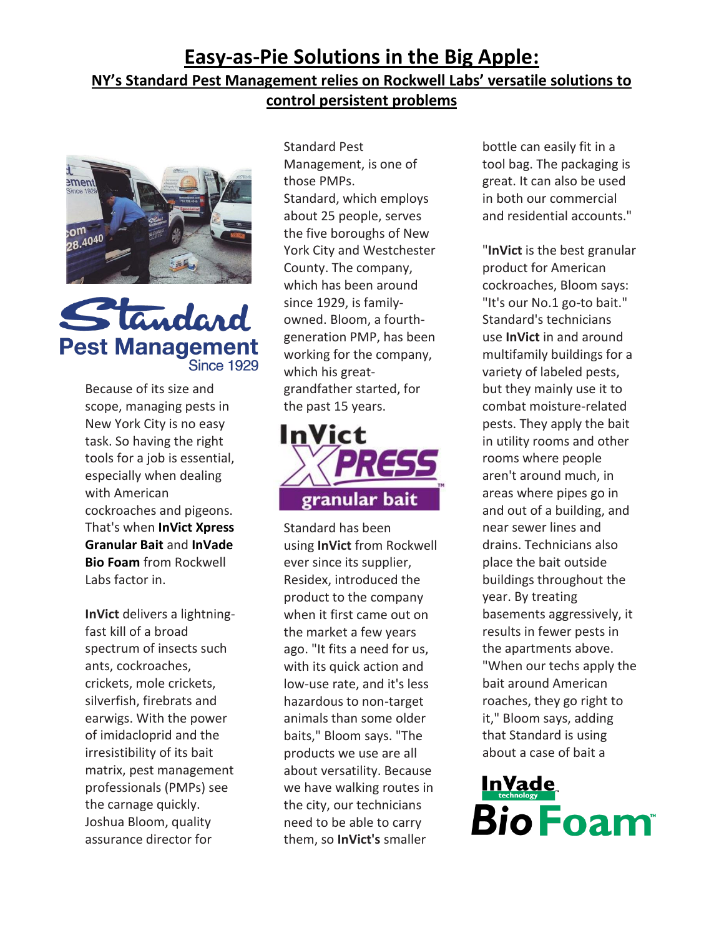## **Easy-as-Pie Solutions in the Big Apple: NY's Standard Pest Management relies on Rockwell Labs' versatile solutions to control persistent problems**





Because of its size and scope, managing pests in New York City is no easy task. So having the right tools for a job is essential, especially when dealing with American cockroaches and pigeons. That's when **[InVict Xpress](http://www.rockwelllabs.com/InVictXpressGranularBait.shtml)  [Granular Bait](http://www.rockwelllabs.com/InVictXpressGranularBait.shtml)** and **[InVade](http://www.rockwelllabs.com/InVadeBioFoam.shtml)  [Bio Foam](http://www.rockwelllabs.com/InVadeBioFoam.shtml)** from Rockwell Labs factor in.

**InVict** delivers a lightningfast kill of a broad spectrum of insects such ants, cockroaches, crickets, mole crickets, silverfish, firebrats and earwigs. With the power of imidacloprid and the irresistibility of its bait matrix, pest management professionals (PMPs) see the carnage quickly. Joshua Bloom, quality assurance director for

Standard Pest Management, is one of those PMPs. Standard, which employs about 25 people, serves the five boroughs of New York City and Westchester County. The company, which has been around since 1929, is familyowned. Bloom, a fourthgeneration PMP, has been working for the company, which his greatgrandfather started, for the past 15 years.



Standard has been using **InVict** from Rockwell ever since its supplier, Residex, introduced the product to the company when it first came out on the market a few years ago. "It fits a need for us, with its quick action and low-use rate, and it's less hazardous to non-target animals than some older baits," Bloom says. "The products we use are all about versatility. Because we have walking routes in the city, our technicians need to be able to carry them, so **InVict's** smaller

bottle can easily fit in a tool bag. The packaging is great. It can also be used in both our commercial and residential accounts."

"**InVict** is the best granular product for American cockroaches, Bloom says: "It's our No.1 go-to bait." Standard's technicians use **InVict** in and around multifamily buildings for a variety of labeled pests, but they mainly use it to combat moisture-related pests. They apply the bait in utility rooms and other rooms where people aren't around much, in areas where pipes go in and out of a building, and near sewer lines and drains. Technicians also place the bait outside buildings throughout the year. By treating basements aggressively, it results in fewer pests in the apartments above. "When our techs apply the bait around American roaches, they go right to it," Bloom says, adding that Standard is using about a case of bait a